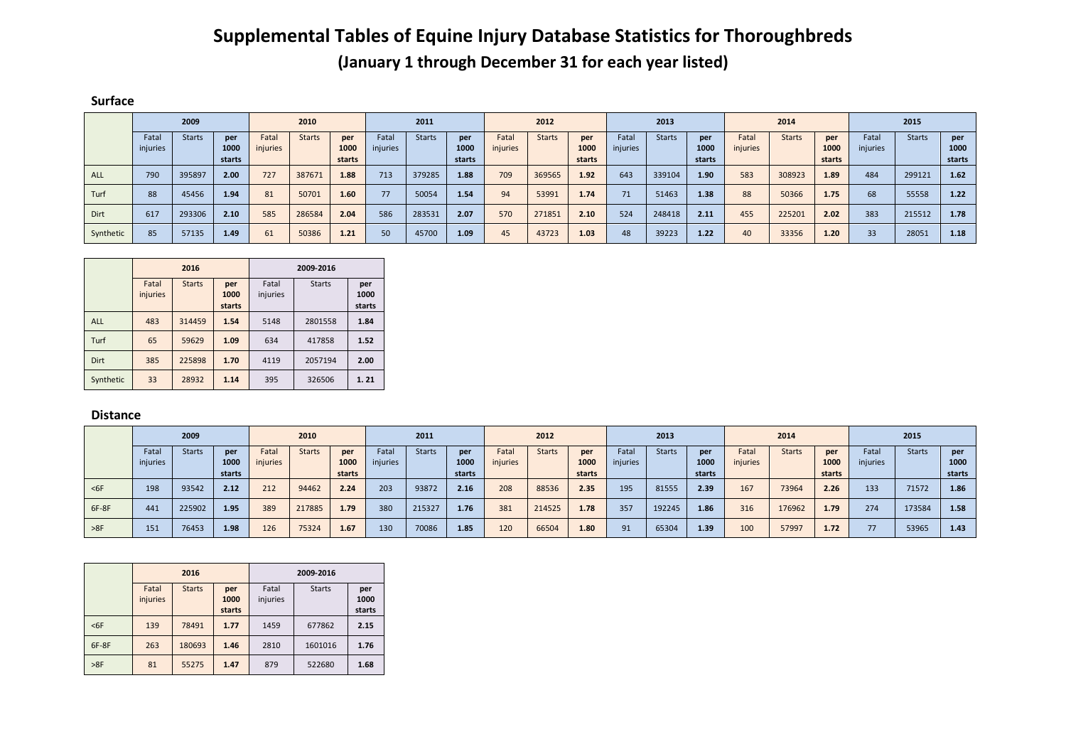## **Supplemental Tables of Equine Injury Database Statistics for Thoroughbreds (January 1 through December 31 for each year listed)**

## **Surface**

|           | 2009     |               |        | 2010     |               |        | 2011     |               |        | 2012     |               |        | 2013     |               |        | 2014     |               |        | 2015            |               |        |
|-----------|----------|---------------|--------|----------|---------------|--------|----------|---------------|--------|----------|---------------|--------|----------|---------------|--------|----------|---------------|--------|-----------------|---------------|--------|
|           | Fatal    | <b>Starts</b> | per    | Fatal    | <b>Starts</b> | per    | Fatal    | <b>Starts</b> | per    | Fatal    | <b>Starts</b> | per    | Fatal    | <b>Starts</b> | per    | Fatal    | <b>Starts</b> | per    | Fatal           | <b>Starts</b> | per    |
|           | injuries |               | 1000   | injuries |               | 1000   | injuries |               | 1000   | injuries |               | 1000   | injuries |               | 1000   | injuries |               | 1000   | injuries        |               | 1000   |
|           |          |               | starts |          |               | starts |          |               | starts |          |               | starts |          |               | starts |          |               | starts |                 |               | starts |
| ALL       | 790      | 395897        | 2.00   | 727      | 387671        | 1.88   | 713      | 379285        | 1.88   | 709      | 369565        | 1.92   | 643      | 339104        | 1.90   | 583      | 308923        | 1.89   | 484             | 299121        | 1.62   |
| Turf      | 88       | 45456         | 1.94   | 81       | 50701         | 1.60   | 77       | 50054         | 1.54   | 94       | 53991         | 1.74   | 71       | 51463         | 1.38   | 88       | 50366         | 1.75   | 68              | 55558         | 1.22   |
| Dirt      | 617      | 293306        | 2.10   | 585      | 286584        | 2.04   | 586      | 283531        | 2.07   | 570      | 271851        | 2.10   | 524      | 248418        | 2.11   | 455      | 225201        | 2.02   | 383             | 215512        | 1.78   |
| Synthetic | 85       | 57135         | 1.49   | 61       | 50386         | 1.21   | 50       | 45700         | 1.09   | 45       | 43723         | 1.03   | 48       | 39223         | 1.22   | 40       | 33356         | 1.20   | 33 <sup>°</sup> | 28051         | 1.18   |

|             |                   | 2016          |                       | 2009-2016         |               |                       |  |  |  |
|-------------|-------------------|---------------|-----------------------|-------------------|---------------|-----------------------|--|--|--|
|             | Fatal<br>injuries | <b>Starts</b> | per<br>1000<br>starts | Fatal<br>injuries | <b>Starts</b> | per<br>1000<br>starts |  |  |  |
| <b>ALL</b>  | 483               | 314459        | 1.54                  | 5148              | 2801558       | 1.84                  |  |  |  |
| Turf        | 65                | 59629         | 1.09                  | 634               | 417858        | 1.52                  |  |  |  |
| <b>Dirt</b> | 385               | 225898        | 1.70                  | 4119              | 2057194       | 2.00                  |  |  |  |
| Synthetic   | 33                | 28932         | 1.14                  | 395               | 326506        | 1.21                  |  |  |  |

## **Distance**

|       | 2009     |               |        | 2010     |               | 2011   |          | 2012          |                   | 2013     |               |        | 2014     |               |        | 2015     |               |        |          |               |        |
|-------|----------|---------------|--------|----------|---------------|--------|----------|---------------|-------------------|----------|---------------|--------|----------|---------------|--------|----------|---------------|--------|----------|---------------|--------|
|       | Fatal    | <b>Starts</b> | per    | Fatal    | <b>Starts</b> | per    | Fatal    | <b>Starts</b> | per               | Fatal    | <b>Starts</b> | per    | Fatal    | <b>Starts</b> | per    | Fatal    | <b>Starts</b> | per    | Fatal    | <b>Starts</b> | per    |
|       | injuries |               | 1000   | injuries |               | 1000   | injuries |               | 1000              | injuries |               | 1000   | injuries |               | 1000   | injuries |               | 1000   | injuries |               | 1000   |
|       |          |               | starts |          |               | starts |          |               | starts            |          |               | starts |          |               | starts |          |               | starts |          |               | starts |
| $6F$  | 198      | 93542         | 2.12   | 212      | 94462         | 2.24   | 203      | 93872         | 2.16              | 208      | 88536         | 2.35   | 195      | 81555         | 2.39   | 167      | 73964         | 2.26   | 133      | 71572         | 1.86   |
| 6F-8F | 441      | 225902        | 1.95   | 389      | 217885        | 1.79   | 380      | 215327        | 1.76              | 381      | 214525        | 1.78   | 357      | 192245        | 1.86   | 316      | 176962        | 1.79   | 274      | 173584        | 1.58   |
| >8F   | 151      | 76453         | 1.98   | 126      | 75324         | 1.67   | 130      | 70086         | 1.85 <sub>1</sub> | 120      | 66504         | 1.80   | 91       | 65304         | 1.39   | 100      | 57997         | 1.72   | 77       | 53965         | 1.43   |

|        |                   | 2016          |                | 2009-2016         |               |                |  |  |  |  |
|--------|-------------------|---------------|----------------|-------------------|---------------|----------------|--|--|--|--|
|        | Fatal<br>injuries | <b>Starts</b> | per<br>1000    | Fatal<br>injuries | <b>Starts</b> | per<br>1000    |  |  |  |  |
| $<$ 6F | 139               | 78491         | starts<br>1.77 | 1459              | 677862        | starts<br>2.15 |  |  |  |  |
| 6F-8F  | 263               | 180693        | 1.46           | 2810              | 1601016       | 1.76           |  |  |  |  |
| >8F    | 81                | 55275         | 1.47           | 879               | 522680        | 1.68           |  |  |  |  |